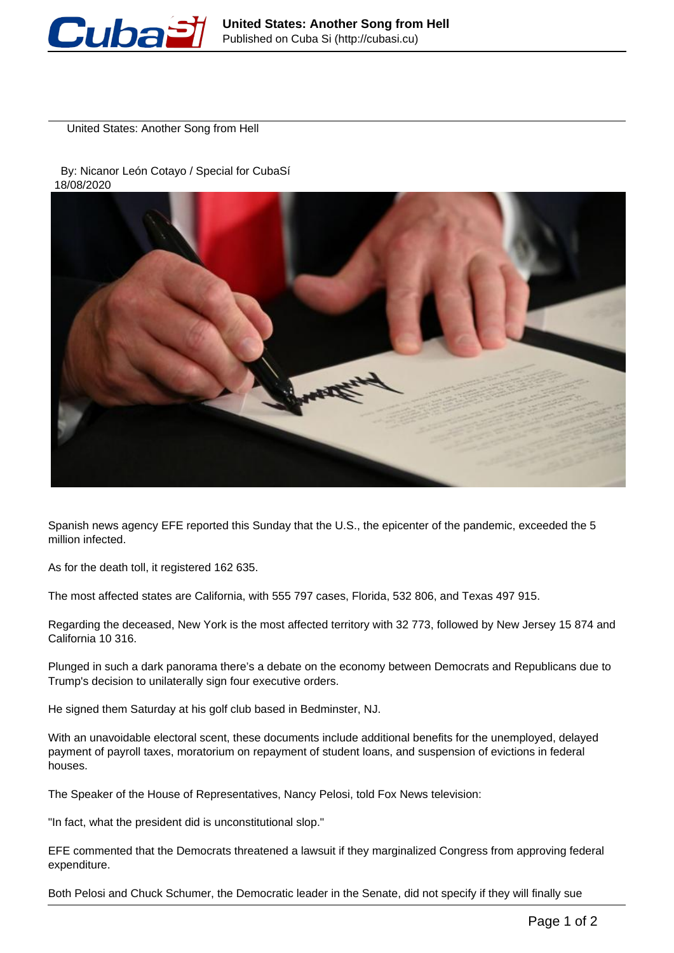

United States: Another Song from Hell

 By: Nicanor León Cotayo / Special for CubaSí 18/08/2020



Spanish news agency EFE reported this Sunday that the U.S., the epicenter of the pandemic, exceeded the 5 million infected.

As for the death toll, it registered 162 635.

The most affected states are California, with 555 797 cases, Florida, 532 806, and Texas 497 915.

Regarding the deceased, New York is the most affected territory with 32 773, followed by New Jersey 15 874 and California 10 316.

Plunged in such a dark panorama there's a debate on the economy between Democrats and Republicans due to Trump's decision to unilaterally sign four executive orders.

He signed them Saturday at his golf club based in Bedminster, NJ.

With an unavoidable electoral scent, these documents include additional benefits for the unemployed, delayed payment of payroll taxes, moratorium on repayment of student loans, and suspension of evictions in federal houses.

The Speaker of the House of Representatives, Nancy Pelosi, told Fox News television:

"In fact, what the president did is unconstitutional slop."

EFE commented that the Democrats threatened a lawsuit if they marginalized Congress from approving federal expenditure.

Both Pelosi and Chuck Schumer, the Democratic leader in the Senate, did not specify if they will finally sue